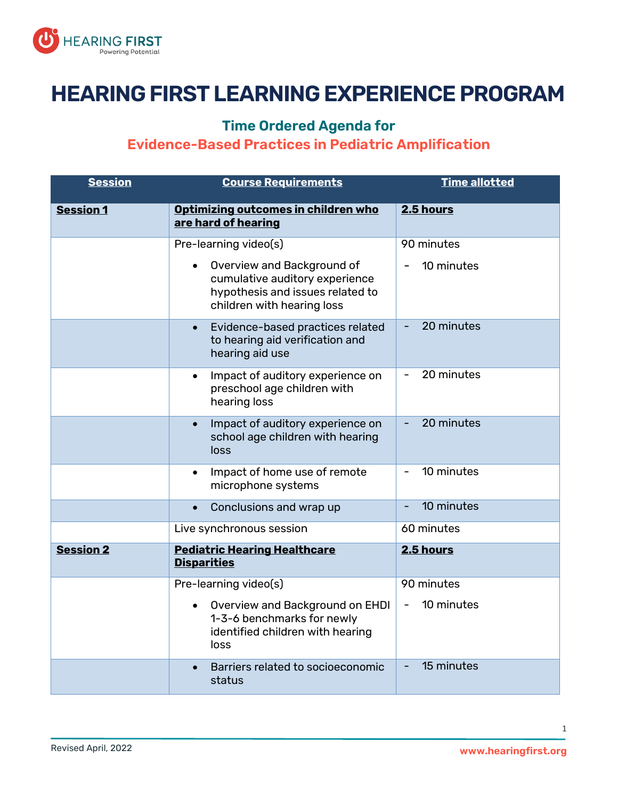

## **HEARING FIRST LEARNING EXPERIENCE PROGRAM**

## **Time Ordered Agenda for**

## **Evidence-Based Practices in Pediatric Amplification**

| <b>Session</b>   | <b>Course Requirements</b>                                                                                                     | Time allotted |
|------------------|--------------------------------------------------------------------------------------------------------------------------------|---------------|
| <b>Session 1</b> | Optimizing outcomes in children who<br>are hard of hearing                                                                     | 2.5 hours     |
|                  | Pre-learning video(s)                                                                                                          | 90 minutes    |
|                  | Overview and Background of<br>cumulative auditory experience<br>hypothesis and issues related to<br>children with hearing loss | 10 minutes    |
|                  | Evidence-based practices related<br>$\bullet$<br>to hearing aid verification and<br>hearing aid use                            | 20 minutes    |
|                  | Impact of auditory experience on<br>$\bullet$<br>preschool age children with<br>hearing loss                                   | 20 minutes    |
|                  | Impact of auditory experience on<br>$\bullet$<br>school age children with hearing<br>loss                                      | 20 minutes    |
|                  | Impact of home use of remote<br>$\bullet$<br>microphone systems                                                                | 10 minutes    |
|                  | Conclusions and wrap up<br>$\bullet$                                                                                           | 10 minutes    |
|                  | Live synchronous session                                                                                                       | 60 minutes    |
| <b>Session 2</b> | <b>Pediatric Hearing Healthcare</b><br><b>Disparities</b>                                                                      | 2.5 hours     |
|                  | Pre-learning video(s)                                                                                                          | 90 minutes    |
|                  | Overview and Background on EHDI<br>1-3-6 benchmarks for newly<br>identified children with hearing<br>loss                      | 10 minutes    |
|                  | Barriers related to socioeconomic<br>status                                                                                    | 15 minutes    |

1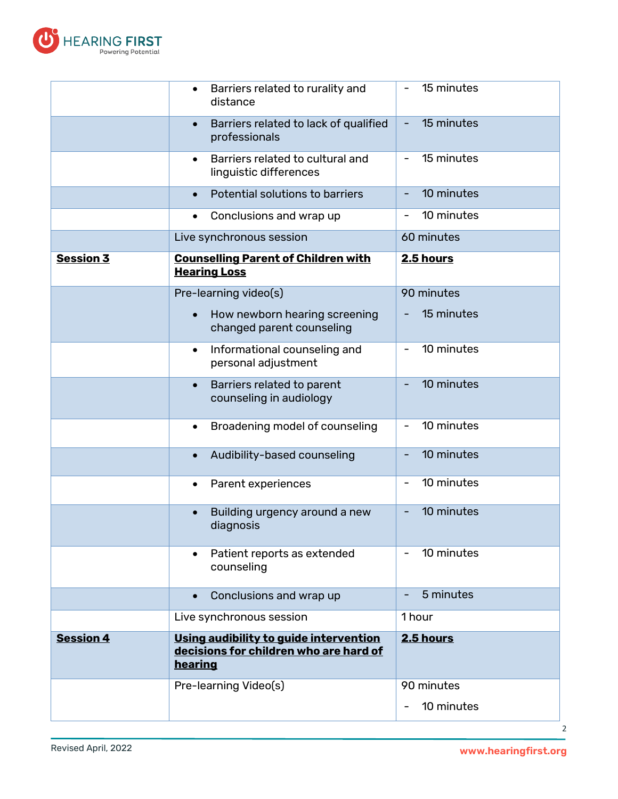

|                  |                                                                                             | 10 minutes<br>2                            |
|------------------|---------------------------------------------------------------------------------------------|--------------------------------------------|
|                  | Pre-learning Video(s)                                                                       | 90 minutes                                 |
| <b>Session 4</b> | Using audibility to quide intervention<br>decisions for children who are hard of<br>hearing | 2.5 hours                                  |
|                  | Live synchronous session                                                                    | 1 hour                                     |
|                  | Conclusions and wrap up<br>$\bullet$                                                        | 5 minutes                                  |
|                  | Patient reports as extended<br>counseling                                                   | 10 minutes                                 |
|                  | Building urgency around a new<br>diagnosis                                                  | 10 minutes                                 |
|                  | Parent experiences<br>$\bullet$                                                             | 10 minutes<br>$\qquad \qquad \blacksquare$ |
|                  | Audibility-based counseling<br>$\bullet$                                                    | 10 minutes                                 |
|                  | Broadening model of counseling<br>$\bullet$                                                 | 10 minutes                                 |
|                  | Barriers related to parent<br>$\bullet$<br>counseling in audiology                          | 10 minutes                                 |
|                  | Informational counseling and<br>$\bullet$<br>personal adjustment                            | 10 minutes<br>$\overline{\phantom{0}}$     |
|                  | How newborn hearing screening<br>changed parent counseling                                  | 15 minutes                                 |
|                  | Pre-learning video(s)                                                                       | 90 minutes                                 |
| <b>Session 3</b> | <b>Counselling Parent of Children with</b><br><b>Hearing Loss</b>                           | <b>2.5 hours</b>                           |
|                  | Live synchronous session                                                                    | 60 minutes                                 |
|                  | Conclusions and wrap up<br>$\bullet$                                                        | 10 minutes<br>$\qquad \qquad \blacksquare$ |
|                  | Potential solutions to barriers<br>$\bullet$                                                | 10 minutes                                 |
|                  | Barriers related to cultural and<br>$\bullet$<br>linguistic differences                     | 15 minutes                                 |
|                  | Barriers related to lack of qualified<br>$\bullet$<br>professionals                         | 15 minutes                                 |
|                  | Barriers related to rurality and<br>$\bullet$<br>distance                                   | 15 minutes                                 |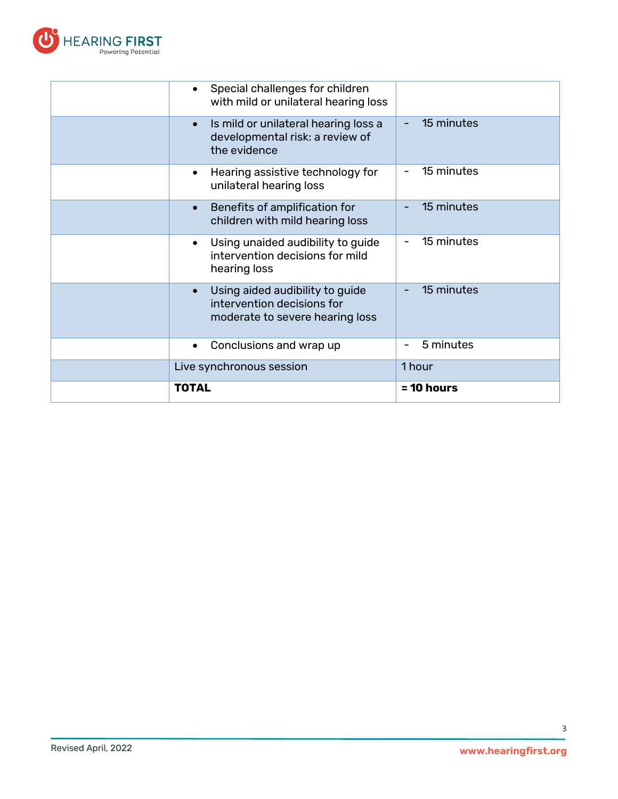

| <b>TOTAL</b>                                                                                         | $= 10$ hours |
|------------------------------------------------------------------------------------------------------|--------------|
| Live synchronous session                                                                             | 1 hour       |
| Conclusions and wrap up<br>٠                                                                         | 5 minutes    |
| Using aided audibility to guide<br>intervention decisions for<br>moderate to severe hearing loss     | 15 minutes   |
| Using unaided audibility to guide<br>intervention decisions for mild<br>hearing loss                 | 15 minutes   |
| Benefits of amplification for<br>$\bullet$<br>children with mild hearing loss                        | 15 minutes   |
| Hearing assistive technology for<br>٠<br>unilateral hearing loss                                     | 15 minutes   |
| Is mild or unilateral hearing loss a<br>$\bullet$<br>developmental risk: a review of<br>the evidence | 15 minutes   |
| Special challenges for children<br>with mild or unilateral hearing loss                              |              |